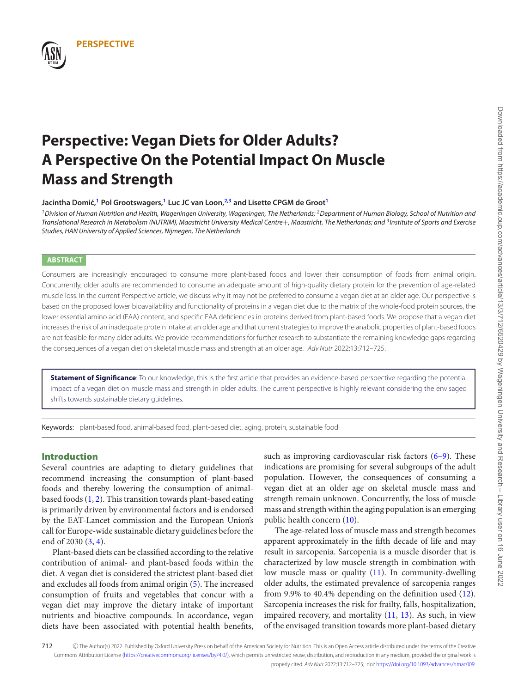

# **PERSPECTIVE**

# **Perspective: Vegan Diets for Older Adults? A Perspective On the Potential Impact On Muscle Mass and Strength**

#### **Jacintha Domic,´ [1](#page-0-0) Pol Grootswagers,[1](#page-0-0) Luc JC van Loon,[2,](#page-0-1)[3](#page-0-2) and Lisette CPGM de Groo[t1](#page-0-0)**

<span id="page-0-0"></span><sup>1</sup> Division of Human Nutrition and Health, Wageningen University, Wageningen, The Netherlands; <sup>2</sup> Department of Human Biology, School of Nutrition and Translational Research in Metabolism (NUTRIM), Maastricht University Medical Centre+, Maastricht, The Netherlands; and <sup>3</sup>Institute of Sports and Exercise Studies, HAN University of Applied Sciences, Nijmegen, The Netherlands

#### **ABSTRACT**

Consumers are increasingly encouraged to consume more plant-based foods and lower their consumption of foods from animal origin. Concurrently, older adults are recommended to consume an adequate amount of high-quality dietary protein for the prevention of age-related muscle loss. In the current Perspective article, we discuss why it may not be preferred to consume a vegan diet at an older age. Our perspective is based on the proposed lower bioavailability and functionality of proteins in a vegan diet due to the matrix of the whole-food protein sources, the lower essential amino acid (EAA) content, and specific EAA deficiencies in proteins derived from plant-based foods. We propose that a vegan diet increases the risk of an inadequate protein intake at an older age and that current strategies to improve the anabolic properties of plant-based foods are not feasible for many older adults. We provide recommendations for further research to substantiate the remaining knowledge gaps regarding the consequences of a vegan diet on skeletal muscle mass and strength at an older age. Adv Nutr 2022;13:712–725.

**Statement of Significance**: To our knowledge, this is the first article that provides an evidence-based perspective regarding the potential impact of a vegan diet on muscle mass and strength in older adults. The current perspective is highly relevant considering the envisaged shifts towards sustainable dietary guidelines.

Keywords: plant-based food, animal-based food, plant-based diet, aging, protein, sustainable food

## **Introduction**

Several countries are adapting to dietary guidelines that recommend increasing the consumption of plant-based foods and thereby lowering the consumption of animalbased foods [\(1,](#page-10-0) [2\)](#page-10-1). This transition towards plant-based eating is primarily driven by environmental factors and is endorsed by the EAT-Lancet commission and the European Union's call for Europe-wide sustainable dietary guidelines before the end of 2030 [\(3,](#page-10-2) [4\)](#page-10-3).

Plant-based diets can be classified according to the relative contribution of animal- and plant-based foods within the diet. A vegan diet is considered the strictest plant-based diet and excludes all foods from animal origin [\(5\)](#page-10-4). The increased consumption of fruits and vegetables that concur with a vegan diet may improve the dietary intake of important nutrients and bioactive compounds. In accordance, vegan diets have been associated with potential health benefits,

<span id="page-0-2"></span><span id="page-0-1"></span>such as improving cardiovascular risk factors [\(6–9\)](#page-10-5). These indications are promising for several subgroups of the adult population. However, the consequences of consuming a vegan diet at an older age on skeletal muscle mass and strength remain unknown. Concurrently, the loss of muscle mass and strength within the aging population is an emerging public health concern [\(10\)](#page-11-0).

The age-related loss of muscle mass and strength becomes apparent approximately in the fifth decade of life and may result in sarcopenia. Sarcopenia is a muscle disorder that is characterized by low muscle strength in combination with low muscle mass or quality [\(11\)](#page-11-1). In community-dwelling older adults, the estimated prevalence of sarcopenia ranges from 9.9% to 40.4% depending on the definition used [\(12\)](#page-11-2). Sarcopenia increases the risk for frailty, falls, hospitalization, impaired recovery, and mortality [\(11,](#page-11-1) [13\)](#page-11-3). As such, in view of the envisaged transition towards more plant-based dietary

712 C The Author(s) 2022. Published by Oxford University Press on behalf of the American Society for Nutrition. This is an Open Access article distributed under the terms of the Creative Commons Attribution License [\(https://creativecommons.org/licenses/by/4.0/\)](https://creativecommons.org/licenses/by/4.0/), which permits unrestricted reuse, distribution, and reproduction in any medium, provided the original work is properly cited. Adv Nutr 2022;13:712–725; doi: [https://doi.org/10.1093/advances/nmac009.](https://doi.org/10.1093/advances/nmac009)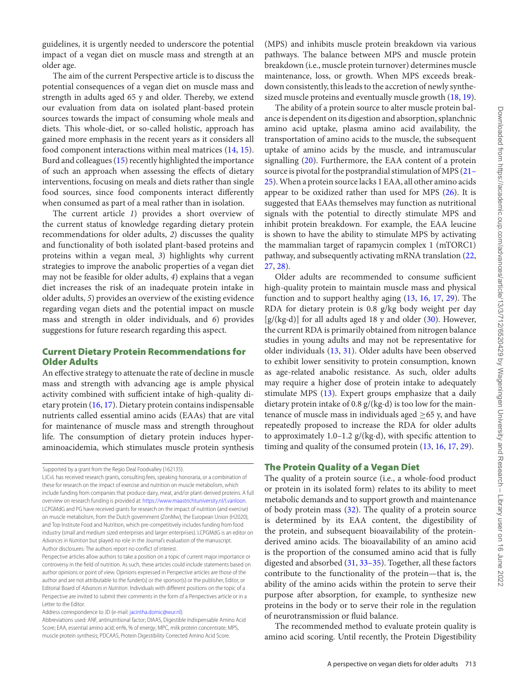guidelines, it is urgently needed to underscore the potential impact of a vegan diet on muscle mass and strength at an older age.

The aim of the current Perspective article is to discuss the potential consequences of a vegan diet on muscle mass and strength in adults aged 65 y and older. Thereby, we extend our evaluation from data on isolated plant-based protein sources towards the impact of consuming whole meals and diets. This whole-diet, or so-called holistic, approach has gained more emphasis in the recent years as it considers all food component interactions within meal matrices [\(14,](#page-11-4) [15\)](#page-11-5). Burd and colleagues [\(15\)](#page-11-5) recently highlighted the importance of such an approach when assessing the effects of dietary interventions, focusing on meals and diets rather than single food sources, since food components interact differently when consumed as part of a meal rather than in isolation.

The current article *1*) provides a short overview of the current status of knowledge regarding dietary protein recommendations for older adults, *2*) discusses the quality and functionality of both isolated plant-based proteins and proteins within a vegan meal, *3*) highlights why current strategies to improve the anabolic properties of a vegan diet may not be feasible for older adults, *4*) explains that a vegan diet increases the risk of an inadequate protein intake in older adults, *5*) provides an overview of the existing evidence regarding vegan diets and the potential impact on muscle mass and strength in older individuals, and *6*) provides suggestions for future research regarding this aspect.

## **Current Dietary Protein Recommendations for Older Adults**

An effective strategy to attenuate the rate of decline in muscle mass and strength with advancing age is ample physical activity combined with sufficient intake of high-quality dietary protein [\(16,](#page-11-6) [17\)](#page-11-7). Dietary protein contains indispensable nutrients called essential amino acids (EAAs) that are vital for maintenance of muscle mass and strength throughout life. The consumption of dietary protein induces hyperaminoacidemia, which stimulates muscle protein synthesis

Address correspondence to JD (e-mail: [jacintha.domic@wur.nl\)](mailto:jacintha.domic@wur.nl).

(MPS) and inhibits muscle protein breakdown via various pathways. The balance between MPS and muscle protein breakdown (i.e., muscle protein turnover) determines muscle maintenance, loss, or growth. When MPS exceeds breakdown consistently, this leads to the accretion of newly synthesized muscle proteins and eventually muscle growth [\(18,](#page-11-8) [19\)](#page-11-9).

The ability of a protein source to alter muscle protein balance is dependent on its digestion and absorption, splanchnic amino acid uptake, plasma amino acid availability, the transportation of amino acids to the muscle, the subsequent uptake of amino acids by the muscle, and intramuscular signalling [\(20\)](#page-11-10). Furthermore, the EAA content of a protein [source is pivotal for the postprandial stimulation of MPS \(21–](#page-11-11) 25).When a protein source lacks 1 EAA, all other amino acids appear to be oxidized rather than used for MPS [\(26\)](#page-11-12). It is suggested that EAAs themselves may function as nutritional signals with the potential to directly stimulate MPS and inhibit protein breakdown. For example, the EAA leucine is shown to have the ability to stimulate MPS by activating the mammalian target of rapamycin complex 1 (mTORC1) pathway, and subsequently activating mRNA translation [\(22,](#page-11-13) [27,](#page-11-14) [28\)](#page-11-15).

Older adults are recommended to consume sufficient high-quality protein to maintain muscle mass and physical function and to support healthy aging [\(13,](#page-11-3) [16,](#page-11-6) [17,](#page-11-7) [29\)](#page-11-16). The RDA for dietary protein is 0.8 g/kg body weight per day [g/(kg·d)] for all adults aged 18 y and older [\(30\)](#page-11-17). However, the current RDA is primarily obtained from nitrogen balance studies in young adults and may not be representative for older individuals [\(13,](#page-11-3) [31\)](#page-11-18). Older adults have been observed to exhibit lower sensitivity to protein consumption, known as age-related anabolic resistance. As such, older adults may require a higher dose of protein intake to adequately stimulate MPS [\(13\)](#page-11-3). Expert groups emphasize that a daily dietary protein intake of 0.8 g/(kg·d) is too low for the maintenance of muscle mass in individuals aged  $\geq 65$  y, and have repeatedly proposed to increase the RDA for older adults to approximately 1.0–1.2  $g/(kg \cdot d)$ , with specific attention to timing and quality of the consumed protein [\(13,](#page-11-3) [16,](#page-11-6) [17,](#page-11-7) [29\)](#page-11-16).

#### **The Protein Quality of a Vegan Diet**

The quality of a protein source (i.e., a whole-food product or protein in its isolated form) relates to its ability to meet metabolic demands and to support growth and maintenance of body protein mass [\(32\)](#page-11-19). The quality of a protein source is determined by its EAA content, the digestibility of the protein, and subsequent bioavailability of the proteinderived amino acids. The bioavailability of an amino acid is the proportion of the consumed amino acid that is fully digested and absorbed [\(31,](#page-11-18) [33–35\)](#page-11-20). Together, all these factors contribute to the functionality of the protein—that is, the ability of the amino acids within the protein to serve their purpose after absorption, for example, to synthesize new proteins in the body or to serve their role in the regulation of neurotransmission or fluid balance.

The recommended method to evaluate protein quality is amino acid scoring. Until recently, the Protein Digestibility

Supported by a grant from the Regio Deal Foodvalley (162135).

LJCvL has received research grants, consulting fees, speaking honoraria, or a combination of these for research on the impact of exercise and nutrition on muscle metabolism, which include funding from companies that produce dairy, meat, and/or plant-derived proteins. A full overview on research funding is provided at: [https://www.maastrichtuniversity.nl/l.vanloon.](https://www.maastrichtuniversity.nl/l.vanloon) LCPGMdG and PG have received grants for research on the impact of nutrition (and exercise) on muscle metabolism, from the Dutch government (ZonMw), the European Union (H2020), and Top Institute Food and Nutrition, which pre-competitively includes funding from food industry (small and medium sized enterprises and larger enterprises). LCPGMdG is an editor on Advances in Nutrition but played no role in the Journal's evaluation of the manuscript. Author disclosures: The authors report no conflict of interest.

Perspective articles allow authors to take a position on a topic of current major importance or controversy in the field of nutrition. As such, these articles could include statements based on author opinions or point of view. Opinions expressed in Perspective articles are those of the author and are not attributable to the funder(s) or the sponsor(s) or the publisher, Editor, or Editorial Board of Advances in Nutrition. Individuals with different positions on the topic of a Perspective are invited to submit their comments in the form of a Perspectives article or in a Letter to the Editor.

Abbreviations used: ANF, antinutritional factor; DIAAS, Digestible Indispensable Amino Acid Score; EAA, essential amino acid; en%, % of energy; MPC, milk protein concentrate; MPS, muscle protein synthesis; PDCAAS, Protein Digestibility Corrected Amino Acid Score.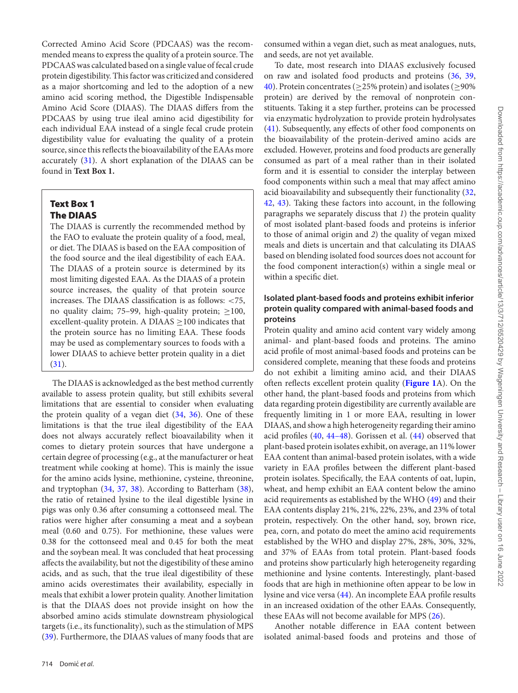Corrected Amino Acid Score (PDCAAS) was the recommended means to express the quality of a protein source. The PDCAAS was calculated based on a single value of fecal crude protein digestibility. This factor was criticized and considered as a major shortcoming and led to the adoption of a new amino acid scoring method, the Digestible Indispensable Amino Acid Score (DIAAS). The DIAAS differs from the PDCAAS by using true ileal amino acid digestibility for each individual EAA instead of a single fecal crude protein digestibility value for evaluating the quality of a protein source, since this reflects the bioavailability of the EAAs more accurately [\(31\)](#page-11-18). A short explanation of the DIAAS can be found in **Text Box 1.**

# **Text Box 1 The DIAAS**

The DIAAS is currently the recommended method by the FAO to evaluate the protein quality of a food, meal, or diet. The DIAAS is based on the EAA composition of the food source and the ileal digestibility of each EAA. The DIAAS of a protein source is determined by its most limiting digested EAA. As the DIAAS of a protein source increases, the quality of that protein source increases. The DIAAS classification is as follows: <75, no quality claim; 75–99, high-quality protein;  $\geq$ 100, excellent-quality protein. A DIAAS  $\geq$  100 indicates that the protein source has no limiting EAA. These foods may be used as complementary sources to foods with a lower DIAAS to achieve better protein quality in a diet  $(31).$  $(31).$ 

The DIAAS is acknowledged as the best method currently available to assess protein quality, but still exhibits several limitations that are essential to consider when evaluating the protein quality of a vegan diet [\(34,](#page-11-21) [36\)](#page-11-22). One of these limitations is that the true ileal digestibility of the EAA does not always accurately reflect bioavailability when it comes to dietary protein sources that have undergone a certain degree of processing (e.g., at the manufacturer or heat treatment while cooking at home). This is mainly the issue for the amino acids lysine, methionine, cysteine, threonine, and tryptophan [\(34,](#page-11-21) [37,](#page-11-23) [38\)](#page-11-24). According to Batterham [\(38\)](#page-11-24), the ratio of retained lysine to the ileal digestible lysine in pigs was only 0.36 after consuming a cottonseed meal. The ratios were higher after consuming a meat and a soybean meal (0.60 and 0.75). For methionine, these values were 0.38 for the cottonseed meal and 0.45 for both the meat and the soybean meal. It was concluded that heat processing affects the availability, but not the digestibility of these amino acids, and as such, that the true ileal digestibility of these amino acids overestimates their availability, especially in meals that exhibit a lower protein quality. Another limitation is that the DIAAS does not provide insight on how the absorbed amino acids stimulate downstream physiological targets (i.e., its functionality), such as the stimulation of MPS [\(39\)](#page-11-25). Furthermore, the DIAAS values of many foods that are

consumed within a vegan diet, such as meat analogues, nuts, and seeds, are not yet available.

To date, most research into DIAAS exclusively focused on raw and isolated food products and proteins [\(36,](#page-11-22) [39,](#page-11-25) [40\)](#page-11-26). Protein concentrates ( $\geq$ 25% protein) and isolates ( $\geq$ 90% protein) are derived by the removal of nonprotein constituents. Taking it a step further, proteins can be processed via enzymatic hydrolyzation to provide protein hydrolysates [\(41\)](#page-11-27). Subsequently, any effects of other food components on the bioavailability of the protein-derived amino acids are excluded. However, proteins and food products are generally consumed as part of a meal rather than in their isolated form and it is essential to consider the interplay between food components within such a meal that may affect amino acid bioavailability and subsequently their functionality [\(32,](#page-11-19) [42,](#page-11-28) [43\)](#page-12-0). Taking these factors into account, in the following paragraphs we separately discuss that *1*) the protein quality of most isolated plant-based foods and proteins is inferior to those of animal origin and *2*) the quality of vegan mixed meals and diets is uncertain and that calculating its DIAAS based on blending isolated food sources does not account for the food component interaction(s) within a single meal or within a specific diet.

# **Isolated plant-based foods and proteins exhibit inferior protein quality compared with animal-based foods and proteins**

Protein quality and amino acid content vary widely among animal- and plant-based foods and proteins. The amino acid profile of most animal-based foods and proteins can be considered complete, meaning that these foods and proteins do not exhibit a limiting amino acid, and their DIAAS often reflects excellent protein quality (**[Figure 1](#page-3-0)**A). On the other hand, the plant-based foods and proteins from which data regarding protein digestibility are currently available are frequently limiting in 1 or more EAA, resulting in lower DIAAS, and show a high heterogeneity regarding their amino acid profiles  $(40, 44-48)$  $(40, 44-48)$ . Gorissen et al.  $(44)$  observed that plant-based protein isolates exhibit, on average, an 11% lower EAA content than animal-based protein isolates, with a wide variety in EAA profiles between the different plant-based protein isolates. Specifically, the EAA contents of oat, lupin, wheat, and hemp exhibit an EAA content below the amino acid requirements as established by the WHO [\(49\)](#page-12-2) and their EAA contents display 21%, 21%, 22%, 23%, and 23% of total protein, respectively. On the other hand, soy, brown rice, pea, corn, and potato do meet the amino acid requirements established by the WHO and display 27%, 28%, 30%, 32%, and 37% of EAAs from total protein. Plant-based foods and proteins show particularly high heterogeneity regarding methionine and lysine contents. Interestingly, plant-based foods that are high in methionine often appear to be low in lysine and vice versa [\(44\)](#page-12-1). An incomplete EAA profile results in an increased oxidation of the other EAAs. Consequently, these EAAs will not become available for MPS [\(26\)](#page-11-12).

Another notable difference in EAA content between isolated animal-based foods and proteins and those of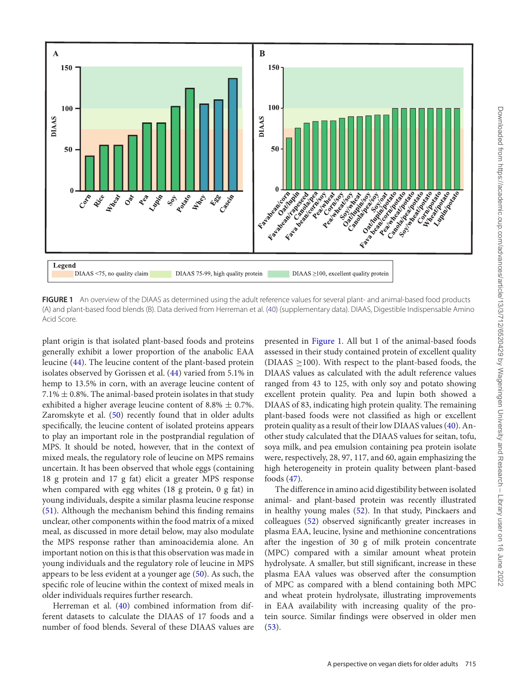<span id="page-3-0"></span>

**FIGURE 1** An overview of the DIAAS as determined using the adult reference values for several plant- and animal-based food products (A) and plant-based food blends (B). Data derived from Herreman et al. [\(40\)](#page-11-26) (supplementary data). DIAAS, Digestible Indispensable Amino Acid Score.

plant origin is that isolated plant-based foods and proteins generally exhibit a lower proportion of the anabolic EAA leucine [\(44\)](#page-12-1). The leucine content of the plant-based protein isolates observed by Gorissen et al. [\(44\)](#page-12-1) varied from 5.1% in hemp to 13.5% in corn, with an average leucine content of  $7.1\% \pm 0.8\%$ . The animal-based protein isolates in that study exhibited a higher average leucine content of  $8.8\% \pm 0.7\%$ . Zaromskyte et al. [\(50\)](#page-12-3) recently found that in older adults specifically, the leucine content of isolated proteins appears to play an important role in the postprandial regulation of MPS. It should be noted, however, that in the context of mixed meals, the regulatory role of leucine on MPS remains uncertain. It has been observed that whole eggs (containing 18 g protein and 17 g fat) elicit a greater MPS response when compared with egg whites (18 g protein, 0 g fat) in young individuals, despite a similar plasma leucine response [\(51\)](#page-12-4). Although the mechanism behind this finding remains unclear, other components within the food matrix of a mixed meal, as discussed in more detail below, may also modulate the MPS response rather than aminoacidemia alone. An important notion on this is that this observation was made in young individuals and the regulatory role of leucine in MPS appears to be less evident at a younger age [\(50\)](#page-12-3). As such, the specific role of leucine within the context of mixed meals in older individuals requires further research.

Herreman et al. [\(40\)](#page-11-26) combined information from different datasets to calculate the DIAAS of 17 foods and a number of food blends. Several of these DIAAS values are presented in [Figure 1.](#page-3-0) All but 1 of the animal-based foods assessed in their study contained protein of excellent quality  $(DIAAS > 100)$ . With respect to the plant-based foods, the DIAAS values as calculated with the adult reference values ranged from 43 to 125, with only soy and potato showing excellent protein quality. Pea and lupin both showed a DIAAS of 83, indicating high protein quality. The remaining plant-based foods were not classified as high or excellent protein quality as a result of their low DIAAS values [\(40\)](#page-11-26). Another study calculated that the DIAAS values for seitan, tofu, soya milk, and pea emulsion containing pea protein isolate were, respectively, 28, 97, 117, and 60, again emphasizing the high heterogeneity in protein quality between plant-based foods [\(47\)](#page-12-5).

The difference in amino acid digestibility between isolated animal- and plant-based protein was recently illustrated in healthy young males [\(52\)](#page-12-6). In that study, Pinckaers and colleagues [\(52\)](#page-12-6) observed significantly greater increases in plasma EAA, leucine, lysine and methionine concentrations after the ingestion of 30 g of milk protein concentrate (MPC) compared with a similar amount wheat protein hydrolysate. A smaller, but still significant, increase in these plasma EAA values was observed after the consumption of MPC as compared with a blend containing both MPC and wheat protein hydrolysate, illustrating improvements in EAA availability with increasing quality of the protein source. Similar findings were observed in older men  $(53).$  $(53).$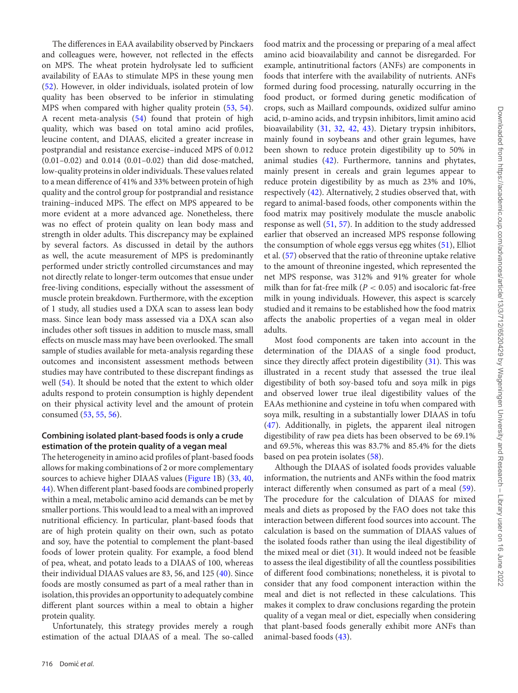The differences in EAA availability observed by Pinckaers and colleagues were, however, not reflected in the effects on MPS. The wheat protein hydrolysate led to sufficient availability of EAAs to stimulate MPS in these young men [\(52\)](#page-12-6). However, in older individuals, isolated protein of low quality has been observed to be inferior in stimulating MPS when compared with higher quality protein [\(53,](#page-12-7) [54\)](#page-12-8). A recent meta-analysis [\(54\)](#page-12-8) found that protein of high quality, which was based on total amino acid profiles, leucine content, and DIAAS, elicited a greater increase in postprandial and resistance exercise–induced MPS of 0.012 (0.01–0.02) and 0.014 (0.01–0.02) than did dose-matched, low-quality proteins in older individuals. These values related to a mean difference of 41% and 33% between protein of high quality and the control group for postprandial and resistance training–induced MPS. The effect on MPS appeared to be more evident at a more advanced age. Nonetheless, there was no effect of protein quality on lean body mass and strength in older adults. This discrepancy may be explained by several factors. As discussed in detail by the authors as well, the acute measurement of MPS is predominantly performed under strictly controlled circumstances and may not directly relate to longer-term outcomes that ensue under free-living conditions, especially without the assessment of muscle protein breakdown. Furthermore, with the exception of 1 study, all studies used a DXA scan to assess lean body mass. Since lean body mass assessed via a DXA scan also includes other soft tissues in addition to muscle mass, small effects on muscle mass may have been overlooked. The small sample of studies available for meta-analysis regarding these outcomes and inconsistent assessment methods between studies may have contributed to these discrepant findings as well [\(54\)](#page-12-8). It should be noted that the extent to which older adults respond to protein consumption is highly dependent on their physical activity level and the amount of protein consumed [\(53,](#page-12-7) [55,](#page-12-9) [56\)](#page-12-10).

# **Combining isolated plant-based foods is only a crude estimation of the protein quality of a vegan meal**

The heterogeneity in amino acid profiles of plant-based foods allows for making combinations of 2 or more complementary sources to achieve higher DIAAS values [\(Figure 1B](#page-3-0)) [\(33,](#page-11-20) [40,](#page-11-26) [44\)](#page-12-1).When different plant-based foods are combined properly within a meal, metabolic amino acid demands can be met by smaller portions. This would lead to a meal with an improved nutritional efficiency. In particular, plant-based foods that are of high protein quality on their own, such as potato and soy, have the potential to complement the plant-based foods of lower protein quality. For example, a food blend of pea, wheat, and potato leads to a DIAAS of 100, whereas their individual DIAAS values are 83, 56, and 125 [\(40\)](#page-11-26). Since foods are mostly consumed as part of a meal rather than in isolation, this provides an opportunity to adequately combine different plant sources within a meal to obtain a higher protein quality.

Unfortunately, this strategy provides merely a rough estimation of the actual DIAAS of a meal. The so-called

food matrix and the processing or preparing of a meal affect amino acid bioavailability and cannot be disregarded. For example, antinutritional factors (ANFs) are components in foods that interfere with the availability of nutrients. ANFs formed during food processing, naturally occurring in the food product, or formed during genetic modification of crops, such as Maillard compounds, oxidized sulfur amino acid, p-amino acids, and trypsin inhibitors, limit amino acid bioavailability [\(31,](#page-11-18) [32,](#page-11-19) [42,](#page-11-28) [43\)](#page-12-0). Dietary trypsin inhibitors, mainly found in soybeans and other grain legumes, have been shown to reduce protein digestibility up to 50% in animal studies [\(42\)](#page-11-28). Furthermore, tannins and phytates, mainly present in cereals and grain legumes appear to reduce protein digestibility by as much as 23% and 10%, respectively [\(42\)](#page-11-28). Alternatively, 2 studies observed that, with regard to animal-based foods, other components within the food matrix may positively modulate the muscle anabolic response as well [\(51,](#page-12-4) [57\)](#page-12-11). In addition to the study addressed earlier that observed an increased MPS response following the consumption of whole eggs versus egg whites [\(51\)](#page-12-4), Elliot et al. [\(57\)](#page-12-11) observed that the ratio of threonine uptake relative to the amount of threonine ingested, which represented the net MPS response, was 312% and 91% greater for whole milk than for fat-free milk ( $P < 0.05$ ) and isocaloric fat-free milk in young individuals. However, this aspect is scarcely studied and it remains to be established how the food matrix affects the anabolic properties of a vegan meal in older adults.

Most food components are taken into account in the determination of the DIAAS of a single food product, since they directly affect protein digestibility [\(31\)](#page-11-18). This was illustrated in a recent study that assessed the true ileal digestibility of both soy-based tofu and soya milk in pigs and observed lower true ileal digestibility values of the EAAs methionine and cysteine in tofu when compared with soya milk, resulting in a substantially lower DIAAS in tofu [\(47\)](#page-12-5). Additionally, in piglets, the apparent ileal nitrogen digestibility of raw pea diets has been observed to be 69.1% and 69.5%, whereas this was 83.7% and 85.4% for the diets based on pea protein isolates [\(58\)](#page-12-12).

Although the DIAAS of isolated foods provides valuable information, the nutrients and ANFs within the food matrix interact differently when consumed as part of a meal [\(59\)](#page-12-13). The procedure for the calculation of DIAAS for mixed meals and diets as proposed by the FAO does not take this interaction between different food sources into account. The calculation is based on the summation of DIAAS values of the isolated foods rather than using the ileal digestibility of the mixed meal or diet [\(31\)](#page-11-18). It would indeed not be feasible to assess the ileal digestibility of all the countless possibilities of different food combinations; nonetheless, it is pivotal to consider that any food component interaction within the meal and diet is not reflected in these calculations. This makes it complex to draw conclusions regarding the protein quality of a vegan meal or diet, especially when considering that plant-based foods generally exhibit more ANFs than animal-based foods [\(43\)](#page-12-0).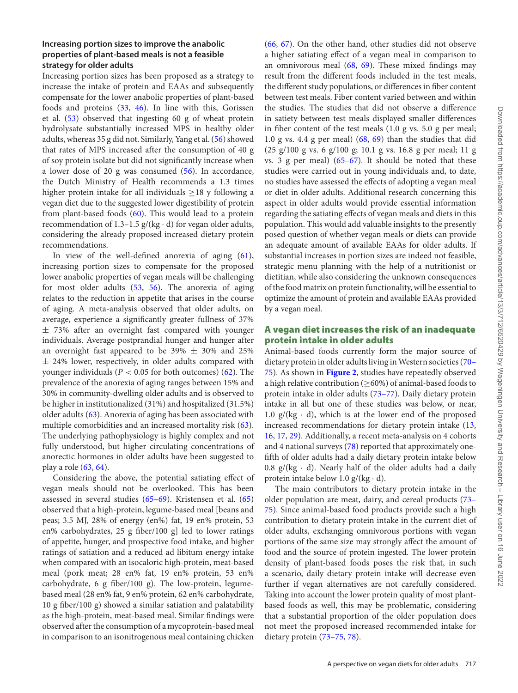### **Increasing portion sizes to improve the anabolic properties of plant-based meals is not a feasible strategy for older adults**

Increasing portion sizes has been proposed as a strategy to increase the intake of protein and EAAs and subsequently compensate for the lower anabolic properties of plant-based foods and proteins [\(33,](#page-11-20) [46\)](#page-12-14). In line with this, Gorissen et al. [\(53\)](#page-12-7) observed that ingesting 60 g of wheat protein hydrolysate substantially increased MPS in healthy older adults, whereas 35 g did not. Similarly, Yang et al. [\(56\)](#page-12-10) showed that rates of MPS increased after the consumption of 40 g of soy protein isolate but did not significantly increase when a lower dose of 20 g was consumed [\(56\)](#page-12-10). In accordance, the Dutch Ministry of Health recommends a 1.3 times higher protein intake for all individuals  $\geq$ 18 y following a vegan diet due to the suggested lower digestibility of protein from plant-based foods [\(60\)](#page-12-15). This would lead to a protein recommendation of 1.3–1.5  $g/(kg \cdot d)$  for vegan older adults, considering the already proposed increased dietary protein recommendations.

In view of the well-defined anorexia of aging [\(61\)](#page-12-16), increasing portion sizes to compensate for the proposed lower anabolic properties of vegan meals will be challenging for most older adults [\(53,](#page-12-7) [56\)](#page-12-10). The anorexia of aging relates to the reduction in appetite that arises in the course of aging. A meta-analysis observed that older adults, on average, experience a significantly greater fullness of 37%  $\pm$  73% after an overnight fast compared with younger individuals. Average postprandial hunger and hunger after an overnight fast appeared to be 39%  $\pm$  30% and 25%  $\pm$  24% lower, respectively, in older adults compared with younger individuals ( $P < 0.05$  for both outcomes) [\(62\)](#page-12-17). The prevalence of the anorexia of aging ranges between 15% and 30% in community-dwelling older adults and is observed to be higher in institutionalized (31%) and hospitalized (31.5%) older adults [\(63\)](#page-12-18). Anorexia of aging has been associated with multiple comorbidities and an increased mortality risk [\(63\)](#page-12-18). The underlying pathophysiology is highly complex and not fully understood, but higher circulating concentrations of anorectic hormones in older adults have been suggested to play a role [\(63,](#page-12-18) [64\)](#page-12-19).

Considering the above, the potential satiating effect of vegan meals should not be overlooked. This has been assessed in several studies [\(65–69\)](#page-12-20). Kristensen et al. [\(65\)](#page-12-20) observed that a high-protein, legume-based meal [beans and peas; 3.5 MJ, 28% of energy (en%) fat, 19 en% protein, 53 en% carbohydrates, 25 g fiber/100 g] led to lower ratings of appetite, hunger, and prospective food intake, and higher ratings of satiation and a reduced ad libitum energy intake when compared with an isocaloric high-protein, meat-based meal (pork meat; 28 en% fat, 19 en% protein, 53 en% carbohydrate, 6 g fiber/100 g). The low-protein, legumebased meal (28 en% fat, 9 en% protein, 62 en% carbohydrate, 10 g fiber/100 g) showed a similar satiation and palatability as the high-protein, meat-based meal. Similar findings were observed after the consumption of a mycoprotein-based meal in comparison to an isonitrogenous meal containing chicken [\(66,](#page-12-21) [67\)](#page-12-22). On the other hand, other studies did not observe a higher satiating effect of a vegan meal in comparison to an omnivorous meal [\(68,](#page-12-23) [69\)](#page-12-24). These mixed findings may result from the different foods included in the test meals, the different study populations, or differences in fiber content between test meals. Fiber content varied between and within the studies. The studies that did not observe a difference in satiety between test meals displayed smaller differences in fiber content of the test meals (1.0 g vs. 5.0 g per meal; 1.0 g vs. 4.4 g per meal) [\(68,](#page-12-23) [69\)](#page-12-24) than the studies that did (25 g/100 g vs. 6 g/100 g; 10.1 g vs. 16.8 g per meal; 11 g vs. 3 g per meal)  $(65-67)$ . It should be noted that these studies were carried out in young individuals and, to date, no studies have assessed the effects of adopting a vegan meal or diet in older adults. Additional research concerning this aspect in older adults would provide essential information regarding the satiating effects of vegan meals and diets in this population. This would add valuable insights to the presently posed question of whether vegan meals or diets can provide an adequate amount of available EAAs for older adults. If substantial increases in portion sizes are indeed not feasible, strategic menu planning with the help of a nutritionist or dietitian, while also considering the unknown consequences of the food matrix on protein functionality, will be essential to optimize the amount of protein and available EAAs provided by a vegan meal.

# **A vegan diet increases the risk of an inadequate protein intake in older adults**

Animal-based foods currently form the major source of dietary protein in older adults living in Western societies (70– 75). As shown in **[Figure 2](#page-6-0)**, studies have repeatedly observed a high relative contribution (≥60%) of animal-based foods to protein intake in older adults [\(73–77\)](#page-12-26). Daily dietary protein intake in all but one of these studies was below, or near, 1.0  $g/(kg \cdot d)$ , which is at the lower end of the proposed increased recommendations for dietary protein intake [\(13,](#page-11-3) [16,](#page-11-6) [17,](#page-11-7) [29\)](#page-11-16). Additionally, a recent meta-analysis on 4 cohorts and 4 national surveys [\(78\)](#page-12-27) reported that approximately onefifth of older adults had a daily dietary protein intake below 0.8  $g/(kg \cdot d)$ . Nearly half of the older adults had a daily protein intake below 1.0  $g/(kg \cdot d)$ .

The main contributors to dietary protein intake in the older population are meat, dairy, and cereal products (73– [75\). Since animal-based food products provide such a high](#page-12-26) contribution to dietary protein intake in the current diet of older adults, exchanging omnivorous portions with vegan portions of the same size may strongly affect the amount of food and the source of protein ingested. The lower protein density of plant-based foods poses the risk that, in such a scenario, daily dietary protein intake will decrease even further if vegan alternatives are not carefully considered. Taking into account the lower protein quality of most plantbased foods as well, this may be problematic, considering that a substantial proportion of the older population does not meet the proposed increased recommended intake for dietary protein [\(73–75,](#page-12-26) [78\)](#page-12-27).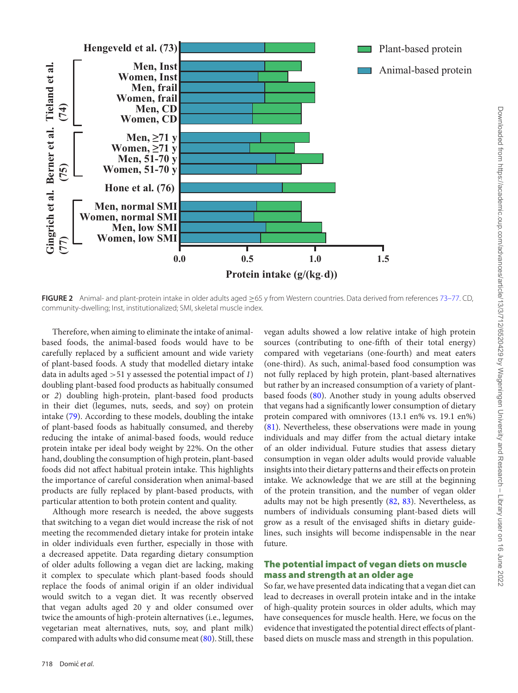<span id="page-6-0"></span>

**FIGURE 2** Animal- and plant-protein intake in older adults aged ≥65 y from Western countries. Data derived from references [73–77.](#page-12-26) CD, community-dwelling; Inst, institutionalized; SMI, skeletal muscle index.

Therefore, when aiming to eliminate the intake of animalbased foods, the animal-based foods would have to be carefully replaced by a sufficient amount and wide variety of plant-based foods. A study that modelled dietary intake data in adults aged >51 y assessed the potential impact of *1*) doubling plant-based food products as habitually consumed or *2*) doubling high-protein, plant-based food products in their diet (legumes, nuts, seeds, and soy) on protein intake [\(79\)](#page-13-0). According to these models, doubling the intake of plant-based foods as habitually consumed, and thereby reducing the intake of animal-based foods, would reduce protein intake per ideal body weight by 22%. On the other hand, doubling the consumption of high protein, plant-based foods did not affect habitual protein intake. This highlights the importance of careful consideration when animal-based products are fully replaced by plant-based products, with particular attention to both protein content and quality.

Although more research is needed, the above suggests that switching to a vegan diet would increase the risk of not meeting the recommended dietary intake for protein intake in older individuals even further, especially in those with a decreased appetite. Data regarding dietary consumption of older adults following a vegan diet are lacking, making it complex to speculate which plant-based foods should replace the foods of animal origin if an older individual would switch to a vegan diet. It was recently observed that vegan adults aged 20 y and older consumed over twice the amounts of high-protein alternatives (i.e., legumes, vegetarian meat alternatives, nuts, soy, and plant milk) compared with adults who did consume meat [\(80\)](#page-13-1). Still, these

vegan adults showed a low relative intake of high protein sources (contributing to one-fifth of their total energy) compared with vegetarians (one-fourth) and meat eaters (one-third). As such, animal-based food consumption was not fully replaced by high protein, plant-based alternatives but rather by an increased consumption of a variety of plantbased foods [\(80\)](#page-13-1). Another study in young adults observed that vegans had a significantly lower consumption of dietary protein compared with omnivores (13.1 en% vs. 19.1 en%) [\(81\)](#page-13-2). Nevertheless, these observations were made in young individuals and may differ from the actual dietary intake of an older individual. Future studies that assess dietary consumption in vegan older adults would provide valuable insights into their dietary patterns and their effects on protein intake. We acknowledge that we are still at the beginning of the protein transition, and the number of vegan older adults may not be high presently [\(82,](#page-13-3) [83\)](#page-13-4). Nevertheless, as numbers of individuals consuming plant-based diets will grow as a result of the envisaged shifts in dietary guidelines, such insights will become indispensable in the near future.

# **The potential impact of vegan diets on muscle mass and strength at an older age**

So far, we have presented data indicating that a vegan diet can lead to decreases in overall protein intake and in the intake of high-quality protein sources in older adults, which may have consequences for muscle health. Here, we focus on the evidence that investigated the potential direct effects of plantbased diets on muscle mass and strength in this population.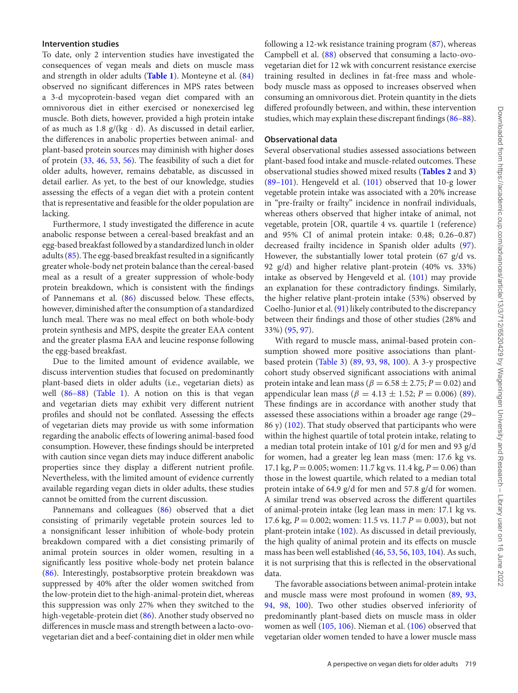#### **Intervention studies**

To date, only 2 intervention studies have investigated the consequences of vegan meals and diets on muscle mass and strength in older adults (**[Table 1](#page-8-0)**). Monteyne et al. [\(84\)](#page-13-5) observed no significant differences in MPS rates between a 3-d mycoprotein-based vegan diet compared with an omnivorous diet in either exercised or nonexercised leg muscle. Both diets, however, provided a high protein intake of as much as 1.8  $g/(kg \cdot d)$ . As discussed in detail earlier, the differences in anabolic properties between animal- and plant-based protein sources may diminish with higher doses of protein [\(33,](#page-11-20) [46,](#page-12-14) [53,](#page-12-7) [56\)](#page-12-10). The feasibility of such a diet for older adults, however, remains debatable, as discussed in detail earlier. As yet, to the best of our knowledge, studies assessing the effects of a vegan diet with a protein content that is representative and feasible for the older population are lacking.

Furthermore, 1 study investigated the difference in acute anabolic response between a cereal-based breakfast and an egg-based breakfast followed by a standardized lunch in older adults [\(85\)](#page-13-6). The egg-based breakfast resulted in a significantly greater whole-body net protein balance than the cereal-based meal as a result of a greater suppression of whole-body protein breakdown, which is consistent with the findings of Pannemans et al. [\(86\)](#page-13-7) discussed below. These effects, however, diminished after the consumption of a standardized lunch meal. There was no meal effect on both whole-body protein synthesis and MPS, despite the greater EAA content and the greater plasma EAA and leucine response following the egg-based breakfast.

Due to the limited amount of evidence available, we discuss intervention studies that focused on predominantly plant-based diets in older adults (i.e., vegetarian diets) as well [\(86–88\)](#page-13-7) [\(Table 1\)](#page-8-0). A notion on this is that vegan and vegetarian diets may exhibit very different nutrient profiles and should not be conflated. Assessing the effects of vegetarian diets may provide us with some information regarding the anabolic effects of lowering animal-based food consumption. However, these findings should be interpreted with caution since vegan diets may induce different anabolic properties since they display a different nutrient profile. Nevertheless, with the limited amount of evidence currently available regarding vegan diets in older adults, these studies cannot be omitted from the current discussion.

Pannemans and colleagues [\(86\)](#page-13-7) observed that a diet consisting of primarily vegetable protein sources led to a nonsignificant lesser inhibition of whole-body protein breakdown compared with a diet consisting primarily of animal protein sources in older women, resulting in a significantly less positive whole-body net protein balance [\(86\)](#page-13-7). Interestingly, postabsorptive protein breakdown was suppressed by 40% after the older women switched from the low-protein diet to the high-animal-protein diet, whereas this suppression was only 27% when they switched to the high-vegetable-protein diet [\(86\)](#page-13-7). Another study observed no differences in muscle mass and strength between a lacto-ovovegetarian diet and a beef-containing diet in older men while

following a 12-wk resistance training program [\(87\)](#page-13-8), whereas Campbell et al. [\(88\)](#page-13-9) observed that consuming a lacto-ovovegetarian diet for 12 wk with concurrent resistance exercise training resulted in declines in fat-free mass and wholebody muscle mass as opposed to increases observed when consuming an omnivorous diet. Protein quantity in the diets differed profoundly between, and within, these intervention studies, which may explain these discrepant findings [\(86–88\)](#page-13-7).

# **Observational data**

Several observational studies assessed associations between plant-based food intake and muscle-related outcomes. These observational studies showed mixed results (**[Tables 2](#page-9-0)** and **[3](#page-9-1)**)  $(89-101)$ . Hengeveld et al.  $(101)$  observed that 10-g lower vegetable protein intake was associated with a 20% increase in "pre-frailty or frailty" incidence in nonfrail individuals, whereas others observed that higher intake of animal, not vegetable, protein [OR, quartile 4 vs. quartile 1 (reference) and 95% CI of animal protein intake: 0.48; 0.26–0.87) decreased frailty incidence in Spanish older adults [\(97\)](#page-13-12). However, the substantially lower total protein (67 g/d vs. 92 g/d) and higher relative plant-protein (40% vs. 33%) intake as observed by Hengeveld et al. [\(101\)](#page-13-11) may provide an explanation for these contradictory findings. Similarly, the higher relative plant-protein intake (53%) observed by Coelho-Junior et al. [\(91\)](#page-13-13) likely contributed to the discrepancy between their findings and those of other studies (28% and 33%) [\(95,](#page-13-14) [97\)](#page-13-12).

With regard to muscle mass, animal-based protein consumption showed more positive associations than plantbased protein [\(Table 3\)](#page-9-1) [\(89,](#page-13-10) [93,](#page-13-15) [98,](#page-13-16) [100\)](#page-13-17). A 3-y prospective cohort study observed significant associations with animal protein intake and lean mass ( $\beta = 6.58 \pm 2.75$ ;  $P = 0.02$ ) and appendicular lean mass ( $\beta = 4.13 \pm 1.52$ ;  $P = 0.006$ ) [\(89\)](#page-13-10). These findings are in accordance with another study that assessed these associations within a broader age range (29– 86 y) [\(102\)](#page-13-18). That study observed that participants who were within the highest quartile of total protein intake, relating to a median total protein intake of 101 g/d for men and 93 g/d for women, had a greater leg lean mass (men: 17.6 kg vs. 17.1 kg, *P* = 0.005; women: 11.7 kg vs. 11.4 kg, *P* = 0.06) than those in the lowest quartile, which related to a median total protein intake of 64.9 g/d for men and 57.8 g/d for women. A similar trend was observed across the different quartiles of animal-protein intake (leg lean mass in men: 17.1 kg vs. 17.6 kg, *P* = 0.002; women: 11.5 vs. 11.7 *P* = 0.003), but not plant-protein intake [\(102\)](#page-13-18). As discussed in detail previously, the high quality of animal protein and its effects on muscle mass has been well established [\(46,](#page-12-14) [53,](#page-12-7) [56,](#page-12-10) [103,](#page-13-19) [104\)](#page-13-20). As such, it is not surprising that this is reflected in the observational data.

The favorable associations between animal-protein intake and muscle mass were most profound in women [\(89,](#page-13-10) [93,](#page-13-15) [94,](#page-13-21) [98,](#page-13-16) [100\)](#page-13-17). Two other studies observed inferiority of predominantly plant-based diets on muscle mass in older women as well [\(105,](#page-13-22) [106\)](#page-13-23). Nieman et al. [\(106\)](#page-13-23) observed that vegetarian older women tended to have a lower muscle mass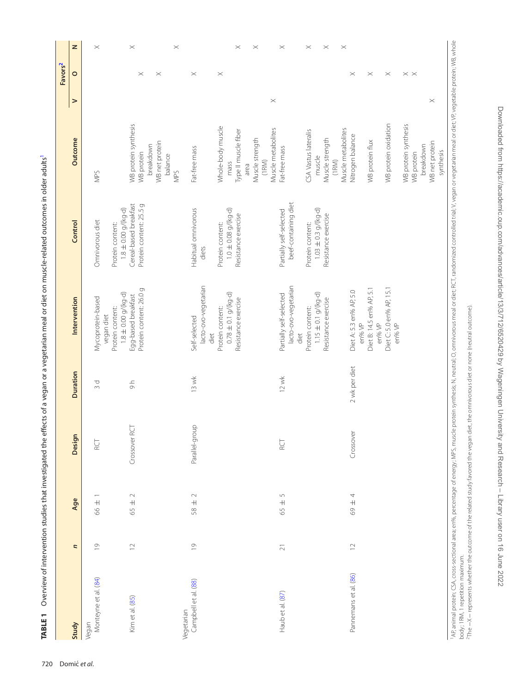|                               |                |                                |                  |                      |                                                 |                                                   |                                    |          | Favors <sup>2</sup> |          |
|-------------------------------|----------------|--------------------------------|------------------|----------------------|-------------------------------------------------|---------------------------------------------------|------------------------------------|----------|---------------------|----------|
| Study                         | n              | Age                            | Design           | <b>Duration</b>      | Intervention                                    | Control                                           | Outcome                            | $\geq$   | $\circ$             | z        |
| Monteyne et al. (84)<br>Vegan | $\overline{0}$ | $\overline{+}$<br>66           | <b>RCT</b>       | р<br>С               | Mycoprotein-based<br>vegan diet                 | Omnivorous diet                                   | NPS                                |          |                     | $\times$ |
|                               |                |                                |                  |                      | $1.8 \pm 0.00$ g/(kg-d)<br>Protein content:     | $1.8 \pm 0.00$ g/(kg-d)<br>Protein content:       |                                    |          |                     |          |
| Kim et al. (85)               | $\supseteq$    | $\small{\sim}$<br>$65 +$       | RCT<br>Crossover | $\frac{1}{\sqrt{2}}$ | Protein content: 26.0 g<br>Egg-based breakfast  | Cereal-based breakfast<br>Protein content: 25.5 g | WB protein synthesis<br>WB protein |          | $\times$            | $\times$ |
|                               |                |                                |                  |                      |                                                 |                                                   | breakdown                          |          |                     |          |
|                               |                |                                |                  |                      |                                                 |                                                   | WB net protein<br>balance          |          | $\times$            |          |
| Vegetarian                    |                |                                |                  |                      |                                                 |                                                   | NPS                                |          |                     | $\times$ |
| Campbell et al. (88)          | $\overline{0}$ | $\scriptstyle\sim$<br>$58 \pm$ | Parallel-group   | 13 wk                | Self-selected                                   | Habitual omnivorous                               | Fat-free mass                      |          | $\times$            |          |
|                               |                |                                |                  |                      | lacto-ovo-vegetarian<br>diet                    | diets                                             |                                    |          |                     |          |
|                               |                |                                |                  |                      | Protein content:                                | Protein content:                                  | Whole-body muscle                  |          | $\times$            |          |
|                               |                |                                |                  |                      | $0.78 \pm 0.1$ g/(kg-d)                         | $1.0 \pm 0.08$ g/(kg-d)                           | mass                               |          |                     |          |
|                               |                |                                |                  |                      | Resistance exercise                             | Resistance exercise                               | Type II muscle fiber<br>area       |          |                     | $\times$ |
|                               |                |                                |                  |                      |                                                 |                                                   | Muscle strength                    |          |                     | $\times$ |
|                               |                |                                |                  |                      |                                                 |                                                   | (1RM)                              |          |                     |          |
|                               |                |                                |                  |                      |                                                 |                                                   | Muscle metabolites                 | $\times$ |                     |          |
| Haub et al. (87)              | $\geq 1$       | $\cup$<br>$\overline{+}$<br>65 | RCT              | $12$ wk              | lacto-ovo-vegetarian<br>Partially self-selected | beef-containing diet<br>Partially self-selected   | Fat-free mass                      |          |                     | $\times$ |
|                               |                |                                |                  |                      | diet                                            |                                                   |                                    |          |                     |          |
|                               |                |                                |                  |                      | Protein content:                                | Protein content:                                  | CSA Vastus lateralis               |          |                     | $\times$ |
|                               |                |                                |                  |                      | $1.15 \pm 0.1$ g/(kg-d)                         | $1.03 \pm 0.3$ g/(kg-d)                           | muscle                             |          |                     |          |
|                               |                |                                |                  |                      | Resistance exercise                             | Resistance exercise                               | Muscle strength<br>(1RM)           |          |                     | $\times$ |
|                               |                |                                |                  |                      |                                                 |                                                   | Muscle metabolites                 |          |                     | $\times$ |
| Pannemans et al. (86)         | $\supseteq$    | 4<br>$\overline{+}$<br>69      | Crossover        | 2 wk per diet        | Diet A: 5.3 en% AP, 5.0<br>en% VP               |                                                   | Nitrogen balance                   |          | $\times$            |          |
|                               |                |                                |                  |                      | Diet B: 14.5 en% AP, 5.1<br>en% VP              |                                                   | WB protein flux                    |          | $\times$            |          |
|                               |                |                                |                  |                      | Diet C: 5.0 en% AP, 15.1<br>en% VP              |                                                   | WB protein oxidation               |          | $\times$            |          |
|                               |                |                                |                  |                      |                                                 |                                                   | WB protein synthesis               |          | $\times$ $\times$   |          |
|                               |                |                                |                  |                      |                                                 |                                                   | WB protein                         |          |                     |          |
|                               |                |                                |                  |                      |                                                 |                                                   | breakdown                          |          |                     |          |
|                               |                |                                |                  |                      |                                                 |                                                   | WB net protein                     | $\times$ |                     |          |

TABLE 1 Overview of intervention studies that investigated the effects of a vegan or a vegetarian meal or diet on muscle-related outcomes in older adults<sup>1</sup> **TABLE 1** Overview of intervention studies that investigated the effects of a vegan or a vegetarian meal or diet on muscle-related outcomes in older adults<sup>1</sup> AP, animal protein; CSA, cross-sectional area; en%, percentage of energy; MPS, muscle protein synthesis; N, neutral: O, omnivorous meal or diet; RCT, randomized controlled trial; V, vegan or vegetarian meal or diet; VP, ve AR animal protein; CSA, cross-sectional area; en%, percentage of energy; MPS, muscle protein synthesis; N, neutral; O, omnivorous meal or diet; RCT, randomized controlled trial; V vegan or vegetalan meal or diet; VP, veget body; 1RM, 1 repetition maximum.<br><sup>2</sup>The —X— represents whether the outcome of the related study favored the vegan diet, the omnivorous diet or none (neutral outcome). body; 1RM, 1 repetition maximum.

synthesis

<span id="page-8-2"></span><span id="page-8-1"></span><span id="page-8-0"></span>2The −X− represents whether the outcome of the related study favored the vegan diet, the omnivorous diet or none (neutral outcome).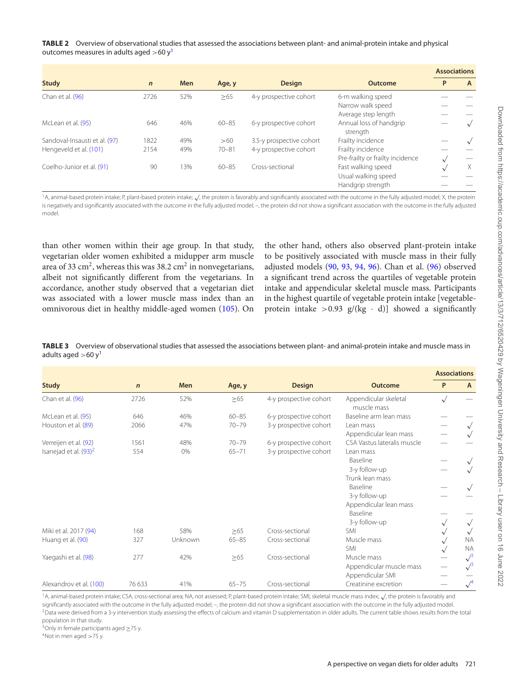#### <span id="page-9-0"></span>**TABLE 2** Overview of observational studies that assessed the associations between plant- and animal-protein intake and physical outcomes measures in adults aged  $>60 y<sup>1</sup>$  $>60 y<sup>1</sup>$  $>60 y<sup>1</sup>$

|                               |             |            |           |                          |                                     | <b>Associations</b> |   |
|-------------------------------|-------------|------------|-----------|--------------------------|-------------------------------------|---------------------|---|
| <b>Study</b>                  | $\mathbf n$ | <b>Men</b> | Age, y    | <b>Design</b>            | <b>Outcome</b>                      | P                   | A |
| Chan et al. (96)              | 2726        | 52%        | $\geq 65$ | 4-y prospective cohort   | 6-m walking speed                   |                     |   |
|                               |             |            |           |                          | Narrow walk speed                   |                     |   |
|                               |             |            |           |                          | Average step length                 |                     |   |
| McLean et al. (95)            | 646         | 46%        | $60 - 85$ | 6-y prospective cohort   | Annual loss of handgrip<br>strength |                     |   |
| Sandoval-Insausti et al. (97) | 1822        | 49%        | >60       | 3.5-y prospective cohort | Frailty incidence                   |                     |   |
| Hengeveld et al. (101)        | 2154        | 49%        | $70 - 81$ | 4-y prospective cohort   | Frailty incidence                   |                     |   |
|                               |             |            |           |                          | Pre-frailty or frailty incidence    |                     |   |
| Coelho-Junior et al. (91)     | 90          | 13%        | $60 - 85$ | Cross-sectional          | Fast walking speed                  |                     | Χ |
|                               |             |            |           |                          | Usual walking speed                 |                     |   |
|                               |             |            |           |                          | Handgrip strength                   |                     |   |

<span id="page-9-2"></span>1A, animal-based protein intake; P, plant-based protein intake; √, the protein is favorably and significantly associated with the outcome in the fully adjusted model; X, the protein is negatively and significantly associated with the outcome in the fully adjusted model; –, the protein did not show a significant association with the outcome in the fully adjusted model.

than other women within their age group. In that study, vegetarian older women exhibited a midupper arm muscle area of 33 cm<sup>2</sup>, whereas this was 38.2 cm<sup>2</sup> in nonvegetarians, albeit not significantly different from the vegetarians. In accordance, another study observed that a vegetarian diet was associated with a lower muscle mass index than an omnivorous diet in healthy middle-aged women [\(105\)](#page-13-22). On the other hand, others also observed plant-protein intake to be positively associated with muscle mass in their fully adjusted models [\(90,](#page-13-25) [93,](#page-13-15) [94,](#page-13-21) [96\)](#page-13-24). Chan et al. [\(96\)](#page-13-24) observed a significant trend across the quartiles of vegetable protein intake and appendicular skeletal muscle mass. Participants in the highest quartile of vegetable protein intake [vegetableprotein intake  $>0.93$  g/(kg  $\cdot$  d)] showed a significantly

<span id="page-9-1"></span>**TABLE 3** Overview of observational studies that assessed the associations between plant- and animal-protein intake and muscle mass in adults aged  $>60 y<sup>1</sup>$ 

|                          |             |            |           |                        |                                      | <b>Associations</b> |              |
|--------------------------|-------------|------------|-----------|------------------------|--------------------------------------|---------------------|--------------|
| <b>Study</b>             | $\mathbf n$ | <b>Men</b> | Age, y    | <b>Design</b>          | Outcome                              | P                   | $\mathsf{A}$ |
| Chan et al. (96)         | 2726        | 52%        | $\geq 65$ | 4-y prospective cohort | Appendicular skeletal<br>muscle mass | $\sqrt{}$           |              |
| McLean et al. (95)       | 646         | 46%        | $60 - 85$ | 6-y prospective cohort | Baseline arm lean mass               |                     |              |
| Houston et al. (89)      | 2066        | 47%        | $70 - 79$ | 3-y prospective cohort | Lean mass                            |                     |              |
|                          |             |            |           |                        | Appendicular lean mass               |                     |              |
| Verreijen et al. (92)    | 1561        | 48%        | $70 - 79$ | 6-y prospective cohort | CSA Vastus lateralis muscle          |                     |              |
| Isanejad et al. $(93)^2$ | 554         | 0%         | $65 - 71$ | 3-y prospective cohort | Lean mass                            |                     |              |
|                          |             |            |           |                        | <b>Baseline</b>                      |                     |              |
|                          |             |            |           |                        | 3-y follow-up                        |                     |              |
|                          |             |            |           |                        | Trunk lean mass                      |                     |              |
|                          |             |            |           |                        | Baseline                             |                     |              |
|                          |             |            |           |                        | 3-y follow-up                        |                     |              |
|                          |             |            |           |                        | Appendicular lean mass               |                     |              |
|                          |             |            |           |                        | Baseline                             |                     |              |
|                          |             |            |           |                        | 3-y follow-up                        |                     | $\sqrt{}$    |
| Miki et al. 2017 (94)    | 168         | 58%        | >65       | Cross-sectional        | SMI                                  |                     | $\sqrt{}$    |
| Huang et al. (90)        | 327         | Unknown    | $65 - 85$ | Cross-sectional        | Muscle mass                          |                     | <b>NA</b>    |
|                          |             |            |           |                        | SMI                                  |                     | <b>NA</b>    |
| Yaegashi et al. (98)     | 277         | 42%        | >65       | Cross-sectional        | Muscle mass                          |                     | $\sqrt{3}$   |
|                          |             |            |           |                        | Appendicular muscle mass             |                     | $\sqrt{3}$   |
|                          |             |            |           |                        | Appendicular SMI                     |                     |              |
| Alexandrov et al. (100)  | 76 633      | 41%        | $65 - 75$ | Cross-sectional        | Creatinine excretion                 |                     |              |

<span id="page-9-3"></span>1A, animal-based protein intake; CSA, cross-sectional area; NA, not assessed; P, plant-based protein intake; SMI, skeletal muscle mass index; √, the protein is favorably and significantly associated with the outcome in the fully adjusted model; -, the protein did not show a significant association with the outcome in the fully adjusted model. <sup>2</sup>Data were derived from a 3-y intervention study assessing the effects of calcium and vitamin D supplementation in older adults. The current table shows results from the total

<span id="page-9-4"></span>population in that study.

<span id="page-9-5"></span><sup>3</sup>Only in female participants aged  $\geq$ 75 y.<br><sup>4</sup>Not in men aged  $>$ 75 y.

<span id="page-9-6"></span>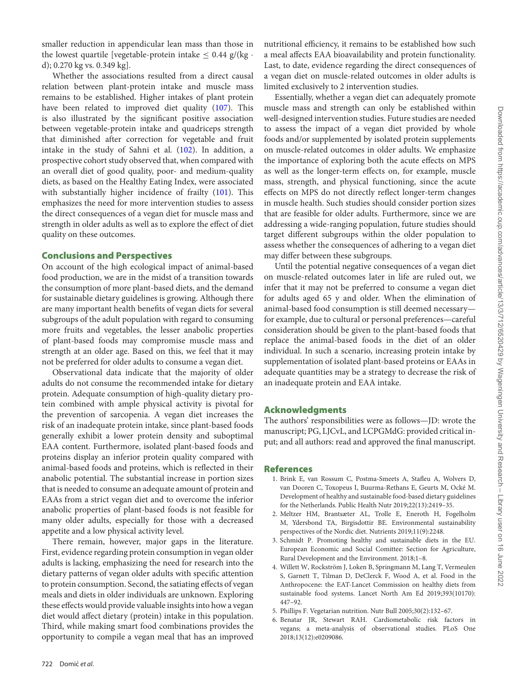smaller reduction in appendicular lean mass than those in the lowest quartile [vegetable-protein intake  $\leq 0.44$  g/(kg  $\cdot$ d); 0.270 kg vs. 0.349 kg].

Whether the associations resulted from a direct causal relation between plant-protein intake and muscle mass remains to be established. Higher intakes of plant protein have been related to improved diet quality [\(107\)](#page-13-27). This is also illustrated by the significant positive association between vegetable-protein intake and quadriceps strength that diminished after correction for vegetable and fruit intake in the study of Sahni et al. [\(102\)](#page-13-18). In addition, a prospective cohort study observed that, when compared with an overall diet of good quality, poor- and medium-quality diets, as based on the Healthy Eating Index, were associated with substantially higher incidence of frailty [\(101\)](#page-13-11). This emphasizes the need for more intervention studies to assess the direct consequences of a vegan diet for muscle mass and strength in older adults as well as to explore the effect of diet quality on these outcomes.

#### **Conclusions and Perspectives**

On account of the high ecological impact of animal-based food production, we are in the midst of a transition towards the consumption of more plant-based diets, and the demand for sustainable dietary guidelines is growing. Although there are many important health benefits of vegan diets for several subgroups of the adult population with regard to consuming more fruits and vegetables, the lesser anabolic properties of plant-based foods may compromise muscle mass and strength at an older age. Based on this, we feel that it may not be preferred for older adults to consume a vegan diet.

Observational data indicate that the majority of older adults do not consume the recommended intake for dietary protein. Adequate consumption of high-quality dietary protein combined with ample physical activity is pivotal for the prevention of sarcopenia. A vegan diet increases the risk of an inadequate protein intake, since plant-based foods generally exhibit a lower protein density and suboptimal EAA content. Furthermore, isolated plant-based foods and proteins display an inferior protein quality compared with animal-based foods and proteins, which is reflected in their anabolic potential. The substantial increase in portion sizes that is needed to consume an adequate amount of protein and EAAs from a strict vegan diet and to overcome the inferior anabolic properties of plant-based foods is not feasible for many older adults, especially for those with a decreased appetite and a low physical activity level.

There remain, however, major gaps in the literature. First, evidence regarding protein consumption in vegan older adults is lacking, emphasizing the need for research into the dietary patterns of vegan older adults with specific attention to protein consumption. Second, the satiating effects of vegan meals and diets in older individuals are unknown. Exploring these effects would provide valuable insights into how a vegan diet would affect dietary (protein) intake in this population. Third, while making smart food combinations provides the opportunity to compile a vegan meal that has an improved

nutritional efficiency, it remains to be established how such a meal affects EAA bioavailability and protein functionality. Last, to date, evidence regarding the direct consequences of a vegan diet on muscle-related outcomes in older adults is limited exclusively to 2 intervention studies.

Essentially, whether a vegan diet can adequately promote muscle mass and strength can only be established within well-designed intervention studies. Future studies are needed to assess the impact of a vegan diet provided by whole foods and/or supplemented by isolated protein supplements on muscle-related outcomes in older adults. We emphasize the importance of exploring both the acute effects on MPS as well as the longer-term effects on, for example, muscle mass, strength, and physical functioning, since the acute effects on MPS do not directly reflect longer-term changes in muscle health. Such studies should consider portion sizes that are feasible for older adults. Furthermore, since we are addressing a wide-ranging population, future studies should target different subgroups within the older population to assess whether the consequences of adhering to a vegan diet may differ between these subgroups.

Until the potential negative consequences of a vegan diet on muscle-related outcomes later in life are ruled out, we infer that it may not be preferred to consume a vegan diet for adults aged 65 y and older. When the elimination of animal-based food consumption is still deemed necessary for example, due to cultural or personal preferences—careful consideration should be given to the plant-based foods that replace the animal-based foods in the diet of an older individual. In such a scenario, increasing protein intake by supplementation of isolated plant-based proteins or EAAs in adequate quantities may be a strategy to decrease the risk of an inadequate protein and EAA intake.

#### **Acknowledgments**

The authors' responsibilities were as follows—JD: wrote the manuscript; PG, LJCvL, and LCPGMdG: provided critical input; and all authors: read and approved the final manuscript.

#### **References**

- <span id="page-10-0"></span>1. Brink E, van Rossum C, Postma-Smeets A, Stafleu A, Wolvers D, van Dooren C, Toxopeus I, Buurma-Rethans E, Geurts M, Ocké M. Development of healthy and sustainable food-based dietary guidelines for the Netherlands. Public Health Nutr 2019;22(13):2419–35.
- <span id="page-10-1"></span>2. Meltzer HM, Brantsæter AL, Trolle E, Eneroth H, Fogelholm M, Ydersbond TA, Birgisdottir BE. Environmental sustainability perspectives of the Nordic diet. Nutrients 2019;11(9):2248.
- <span id="page-10-2"></span>3. Schmidt P. Promoting healthy and sustainable diets in the EU. European Economic and Social Comittee: Section for Agriculture, Rural Development and the Environment. 2018;1–8.
- <span id="page-10-3"></span>4. Willett W, Rockström J, Loken B, Springmann M, Lang T, Vermeulen S, Garnett T, Tilman D, DeClerck F, Wood A, et al. Food in the Anthropocene: the EAT-Lancet Commission on healthy diets from sustainable food systems. Lancet North Am Ed 2019;393(10170): 447–92.
- <span id="page-10-4"></span>5. Phillips F. Vegetarian nutrition. Nutr Bull 2005;30(2):132–67.
- <span id="page-10-5"></span>6. Benatar JR, Stewart RAH. Cardiometabolic risk factors in vegans; a meta-analysis of observational studies. PLoS One 2018;13(12):e0209086.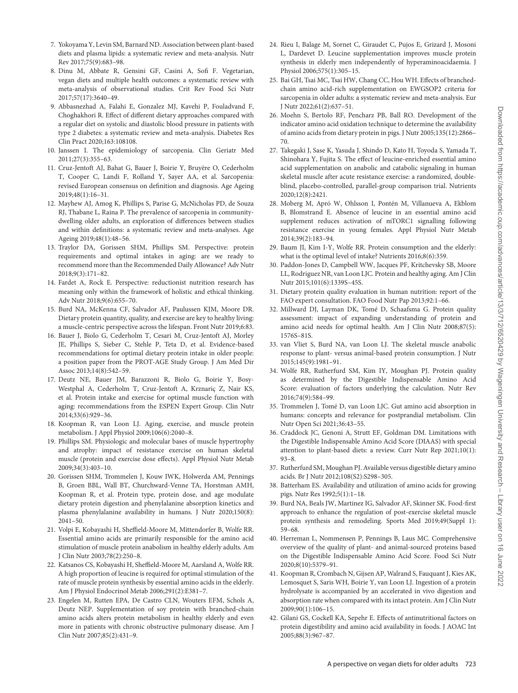- 7. Yokoyama Y, Levin SM, Barnard ND. Association between plant-based diets and plasma lipids: a systematic review and meta-analysis. Nutr Rev 2017;75(9):683–98.
- 8. Dinu M, Abbate R, Gensini GF, Casini A, Sofi F. Vegetarian, vegan diets and multiple health outcomes: a systematic review with meta-analysis of observational studies. Crit Rev Food Sci Nutr 2017;57(17):3640–49.
- 9. Abbasnezhad A, Falahi E, Gonzalez MJ, Kavehi P, Fouladvand F, Choghakhori R. Effect of different dietary approaches compared with a regular diet on systolic and diastolic blood pressure in patients with type 2 diabetes: a systematic review and meta-analysis. Diabetes Res Clin Pract 2020;163:108108.
- <span id="page-11-0"></span>10. Janssen I. The epidemiology of sarcopenia. Clin Geriatr Med 2011;27(3):355–63.
- <span id="page-11-1"></span>11. Cruz-Jentoft AJ, Bahat G, Bauer J, Boirie Y, Bruyère O, Cederholm T, Cooper C, Landi F, Rolland Y, Sayer AA, et al. Sarcopenia: revised European consensus on definition and diagnosis. Age Ageing 2019;48(1):16–31.
- <span id="page-11-2"></span>12. Mayhew AJ, Amog K, Phillips S, Parise G, McNicholas PD, de Souza RJ, Thabane L, Raina P. The prevalence of sarcopenia in communitydwelling older adults, an exploration of differences between studies and within definitions: a systematic review and meta-analyses. Age Ageing 2019;48(1):48–56.
- <span id="page-11-3"></span>13. Traylor DA, Gorissen SHM, Phillips SM. Perspective: protein requirements and optimal intakes in aging: are we ready to recommend more than the Recommended Daily Allowance? Adv Nutr 2018;9(3):171–82.
- <span id="page-11-4"></span>14. Fardet A, Rock E. Perspective: reductionist nutrition research has meaning only within the framework of holistic and ethical thinking. Adv Nutr 2018;9(6):655–70.
- <span id="page-11-5"></span>15. Burd NA, McKenna CF, Salvador AF, Paulussen KJM, Moore DR. Dietary protein quantity, quality, and exercise are key to healthy living: a muscle-centric perspective across the lifespan. Front Nutr 2019;6:83.
- <span id="page-11-6"></span>16. Bauer J, Biolo G, Cederholm T, Cesari M, Cruz-Jentoft AJ, Morley JE, Phillips S, Sieber C, Stehle P, Teta D, et al. Evidence-based recommendations for optimal dietary protein intake in older people: a position paper from the PROT-AGE Study Group. J Am Med Dir Assoc 2013;14(8):542–59.
- <span id="page-11-7"></span>17. Deutz NE, Bauer JM, Barazzoni R, Biolo G, Boirie Y, Bosy-Westphal A, Cederholm T, Cruz-Jentoft A, Krznariç Z, Nair KS, et al. Protein intake and exercise for optimal muscle function with aging: recommendations from the ESPEN Expert Group. Clin Nutr 2014;33(6):929–36.
- <span id="page-11-8"></span>18. Koopman R, van Loon LJ. Aging, exercise, and muscle protein metabolism. J Appl Physiol 2009;106(6):2040–8.
- <span id="page-11-9"></span>19. Phillips SM. Physiologic and molecular bases of muscle hypertrophy and atrophy: impact of resistance exercise on human skeletal muscle (protein and exercise dose effects). Appl Physiol Nutr Metab 2009;34(3):403–10.
- <span id="page-11-10"></span>20. Gorissen SHM, Trommelen J, Kouw IWK, Holwerda AM, Pennings B, Groen BBL, Wall BT, Churchward-Venne TA, Horstman AMH, Koopman R, et al. Protein type, protein dose, and age modulate dietary protein digestion and phenylalanine absorption kinetics and plasma phenylalanine availability in humans. J Nutr 2020;150(8): 2041–50.
- <span id="page-11-11"></span>21. Volpi E, Kobayashi H, Sheffield-Moore M, Mittendorfer B, Wolfe RR. Essential amino acids are primarily responsible for the amino acid stimulation of muscle protein anabolism in healthy elderly adults. Am J Clin Nutr 2003;78(2):250–8.
- <span id="page-11-13"></span>22. Katsanos CS, Kobayashi H, Sheffield-Moore M, Aarsland A, Wolfe RR. A high proportion of leucine is required for optimal stimulation of the rate of muscle protein synthesis by essential amino acids in the elderly. Am J Physiol Endocrinol Metab 2006;291(2):E381–7.
- 23. Engelen M, Rutten EPA, De Castro CLN, Wouters EFM, Schols A, Deutz NEP. Supplementation of soy protein with branched-chain amino acids alters protein metabolism in healthy elderly and even more in patients with chronic obstructive pulmonary disease. Am J Clin Nutr 2007;85(2):431–9.
- 24. Rieu I, Balage M, Sornet C, Giraudet C, Pujos E, Grizard J, Mosoni L, Dardevet D. Leucine supplementation improves muscle protein synthesis in elderly men independently of hyperaminoacidaemia. J Physiol 2006;575(1):305–15.
- 25. Bai GH, Tsai MC, Tsai HW, Chang CC, Hou WH. Effects of branchedchain amino acid-rich supplementation on EWGSOP2 criteria for sarcopenia in older adults: a systematic review and meta-analysis. Eur J Nutr 2022;61(2):637–51.
- <span id="page-11-12"></span>26. Moehn S, Bertolo RF, Pencharz PB, Ball RO. Development of the indicator amino acid oxidation technique to determine the availability of amino acids from dietary protein in pigs. J Nutr 2005;135(12):2866– 70.
- <span id="page-11-14"></span>27. Takegaki J, Sase K, Yasuda J, Shindo D, Kato H, Toyoda S, Yamada T, Shinohara Y, Fujita S. The effect of leucine-enriched essential amino acid supplementation on anabolic and catabolic signaling in human skeletal muscle after acute resistance exercise: a randomized, doubleblind, placebo-controlled, parallel-group comparison trial. Nutrients 2020;12(8):2421.
- <span id="page-11-15"></span>28. Moberg M, Apró W, Ohlsson I, Pontén M, Villanueva A, Ekblom B, Blomstrand E. Absence of leucine in an essential amino acid supplement reduces activation of mTORC1 signalling following resistance exercise in young females. Appl Physiol Nutr Metab 2014;39(2):183–94.
- <span id="page-11-16"></span>29. Baum JI, Kim I-Y, Wolfe RR. Protein consumption and the elderly: what is the optimal level of intake? Nutrients 2016;8(6):359.
- <span id="page-11-17"></span>30. Paddon-Jones D, Campbell WW, Jacques PF, Kritchevsky SB, Moore LL, Rodriguez NR, van Loon LJC. Protein and healthy aging. Am J Clin Nutr 2015;101(6):1339S–45S.
- <span id="page-11-18"></span>31. Dietary protein quality evaluation in human nutrition: report of the FAO expert consultation. FAO Food Nutr Pap 2013;92:1–66.
- <span id="page-11-19"></span>32. Millward DJ, Layman DK, Tomé D, Schaafsma G. Protein quality assessment: impact of expanding understanding of protein and amino acid needs for optimal health. Am J Clin Nutr 2008;87(5): 1576S–81S.
- <span id="page-11-20"></span>33. van Vliet S, Burd NA, van Loon LJ. The skeletal muscle anabolic response to plant- versus animal-based protein consumption. J Nutr 2015;145(9):1981–91.
- <span id="page-11-21"></span>34. Wolfe RR, Rutherfurd SM, Kim IY, Moughan PJ. Protein quality as determined by the Digestible Indispensable Amino Acid Score: evaluation of factors underlying the calculation. Nutr Rev 2016;74(9):584–99.
- 35. Trommelen J, Tomé D, van Loon LJC. Gut amino acid absorption in humans: concepts and relevance for postprandial metabolism. Clin Nutr Open Sci 2021;36:43–55.
- <span id="page-11-22"></span>36. Craddock JC, Genoni A, Strutt EF, Goldman DM. Limitations with the Digestible Indispensable Amino Acid Score (DIAAS) with special attention to plant-based diets: a review. Curr Nutr Rep 2021;10(1): 93–8.
- <span id="page-11-23"></span>37. Rutherfurd SM, Moughan PJ. Available versus digestible dietary amino acids. Br J Nutr 2012;108(S2):S298–305.
- <span id="page-11-24"></span>38. Batterham ES. Availability and utilization of amino acids for growing pigs. Nutr Res 1992;5(1):1–18.
- <span id="page-11-25"></span>39. Burd NA, Beals JW, Martinez IG, Salvador AF, Skinner SK. Food-first approach to enhance the regulation of post-exercise skeletal muscle protein synthesis and remodeling. Sports Med 2019;49(Suppl 1): 59–68.
- <span id="page-11-26"></span>40. Herreman L, Nommensen P, Pennings B, Laus MC. Comprehensive overview of the quality of plant- and animal-sourced proteins based on the Digestible Indispensable Amino Acid Score. Food Sci Nutr 2020;8(10):5379–91.
- <span id="page-11-27"></span>41. Koopman R, Crombach N, Gijsen AP, Walrand S, Fauquant J, Kies AK, Lemosquet S, Saris WH, Boirie Y, van Loon LJ. Ingestion of a protein hydrolysate is accompanied by an accelerated in vivo digestion and absorption rate when compared with its intact protein. Am J Clin Nutr 2009;90(1):106–15.
- <span id="page-11-28"></span>42. Gilani GS, Cockell KA, Sepehr E. Effects of antinutritional factors on protein digestibility and amino acid availability in foods. J AOAC Int 2005;88(3):967–87.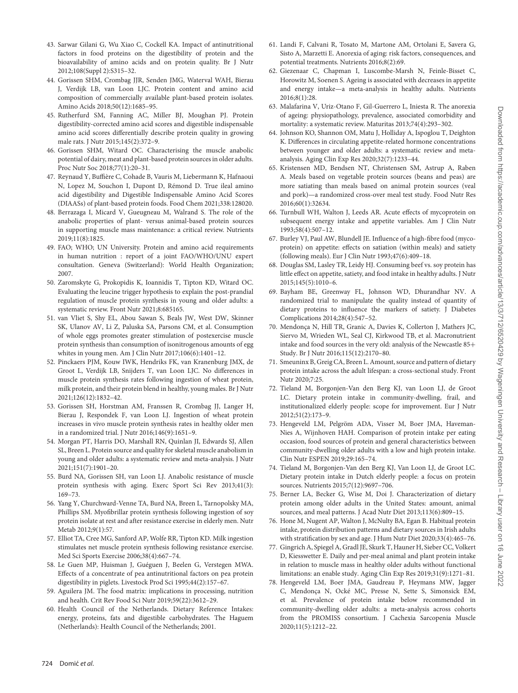- <span id="page-12-0"></span>43. Sarwar Gilani G, Wu Xiao C, Cockell KA. Impact of antinutritional factors in food proteins on the digestibility of protein and the bioavailability of amino acids and on protein quality. Br J Nutr 2012;108(Suppl 2):S315–32.
- <span id="page-12-1"></span>44. Gorissen SHM, Crombag JJR, Senden JMG, Waterval WAH, Bierau J, Verdijk LB, van Loon LJC. Protein content and amino acid composition of commercially available plant-based protein isolates. Amino Acids 2018;50(12):1685–95.
- 45. Rutherfurd SM, Fanning AC, Miller BJ, Moughan PJ. Protein digestibility-corrected amino acid scores and digestible indispensable amino acid scores differentially describe protein quality in growing male rats. J Nutr 2015;145(2):372–9.
- <span id="page-12-14"></span>46. Gorissen SHM, Witard OC. Characterising the muscle anabolic potential of dairy, meat and plant-based protein sources in older adults. Proc Nutr Soc 2018;77(1):20–31.
- <span id="page-12-5"></span>47. Reynaud Y, Buffière C, Cohade B, Vauris M, Liebermann K, Hafnaoui N, Lopez M, Souchon I, Dupont D, Rémond D. True ileal amino acid digestibility and Digestible Indispensable Amino Acid Scores (DIAASs) of plant-based protein foods. Food Chem 2021;338:128020.
- 48. Berrazaga I, Micard V, Gueugneau M, Walrand S. The role of the anabolic properties of plant- versus animal-based protein sources in supporting muscle mass maintenance: a critical review. Nutrients 2019;11(8):1825.
- <span id="page-12-2"></span>49. FAO; WHO; UN University. Protein and amino acid requirements in human nutrition : report of a joint FAO/WHO/UNU expert consultation. Geneva (Switzerland): World Health Organization; 2007.
- <span id="page-12-3"></span>50. Zaromskyte G, Prokopidis K, Ioannidis T, Tipton KD, Witard OC. Evaluating the leucine trigger hypothesis to explain the post-prandial regulation of muscle protein synthesis in young and older adults: a systematic review. Front Nutr 2021;8:685165.
- <span id="page-12-4"></span>51. van Vliet S, Shy EL, Abou Sawan S, Beals JW, West DW, Skinner SK, Ulanov AV, Li Z, Paluska SA, Parsons CM, et al. Consumption of whole eggs promotes greater stimulation of postexercise muscle protein synthesis than consumption of isonitrogenous amounts of egg whites in young men. Am J Clin Nutr 2017;106(6):1401–12.
- <span id="page-12-6"></span>52. Pinckaers PJM, Kouw IWK, Hendriks FK, van Kranenburg JMX, de Groot L, Verdijk LB, Snijders T, van Loon LJC. No differences in muscle protein synthesis rates following ingestion of wheat protein, milk protein, and their protein blend in healthy, young males. Br J Nutr 2021;126(12):1832–42.
- <span id="page-12-7"></span>53. Gorissen SH, Horstman AM, Franssen R, Crombag JJ, Langer H, Bierau J, Respondek F, van Loon LJ. Ingestion of wheat protein increases in vivo muscle protein synthesis rates in healthy older men in a randomized trial. J Nutr 2016;146(9):1651–9.
- <span id="page-12-8"></span>54. Morgan PT, Harris DO, Marshall RN, Quinlan JI, Edwards SJ, Allen SL, Breen L. Protein source and quality for skeletal muscle anabolism in young and older adults: a systematic review and meta-analysis. J Nutr 2021;151(7):1901–20.
- <span id="page-12-9"></span>55. Burd NA, Gorissen SH, van Loon LJ. Anabolic resistance of muscle protein synthesis with aging. Exerc Sport Sci Rev 2013;41(3): 169–73.
- <span id="page-12-10"></span>56. Yang Y, Churchward-Venne TA, Burd NA, Breen L, Tarnopolsky MA, Phillips SM. Myofibrillar protein synthesis following ingestion of soy protein isolate at rest and after resistance exercise in elderly men. Nutr Metab 2012;9(1):57.
- <span id="page-12-11"></span>57. Elliot TA, Cree MG, Sanford AP, Wolfe RR, Tipton KD. Milk ingestion stimulates net muscle protein synthesis following resistance exercise. Med Sci Sports Exercise 2006;38(4):667–74.
- <span id="page-12-12"></span>58. Le Guen MP, Huisman J, Guéguen J, Beelen G, Verstegen MWA. Effects of a concentrate of pea antinutritional factors on pea protein digestibility in piglets. Livestock Prod Sci 1995;44(2):157–67.
- <span id="page-12-13"></span>59. Aguilera JM. The food matrix: implications in processing, nutrition and health. Crit Rev Food Sci Nutr 2019;59(22):3612–29.
- <span id="page-12-15"></span>60. Health Council of the Netherlands. Dietary Reference Intakes: energy, proteins, fats and digestible carbohydrates. The Haguem (Netherlands): Health Council of the Netherlands; 2001.
- <span id="page-12-16"></span>61. Landi F, Calvani R, Tosato M, Martone AM, Ortolani E, Savera G, Sisto A, Marzetti E. Anorexia of aging: risk factors, consequences, and potential treatments. Nutrients 2016;8(2):69.
- <span id="page-12-17"></span>62. Giezenaar C, Chapman I, Luscombe-Marsh N, Feinle-Bisset C, Horowitz M, Soenen S. Ageing is associated with decreases in appetite and energy intake—a meta-analysis in healthy adults. Nutrients 2016;8(1):28.
- <span id="page-12-18"></span>63. Malafarina V, Uriz-Otano F, Gil-Guerrero L, Iniesta R. The anorexia of ageing: physiopathology, prevalence, associated comorbidity and mortality: a systematic review. Maturitas 2013;74(4):293–302.
- <span id="page-12-19"></span>64. Johnson KO, Shannon OM, Matu J, Holliday A, Ispoglou T, Deighton K. Differences in circulating appetite-related hormone concentrations between younger and older adults: a systematic review and metaanalysis. Aging Clin Exp Res 2020;32(7):1233–44.
- <span id="page-12-20"></span>65. Kristensen MD, Bendsen NT, Christensen SM, Astrup A, Raben A. Meals based on vegetable protein sources (beans and peas) are more satiating than meals based on animal protein sources (veal and pork)—a randomized cross-over meal test study. Food Nutr Res 2016;60(1):32634.
- <span id="page-12-21"></span>66. Turnbull WH, Walton J, Leeds AR. Acute effects of mycoprotein on subsequent energy intake and appetite variables. Am J Clin Nutr 1993;58(4):507–12.
- <span id="page-12-22"></span>67. Burley VJ, Paul AW, Blundell JE. Influence of a high-fibre food (mycoprotein) on appetite: effects on satiation (within meals) and satiety (following meals). Eur J Clin Nutr 1993;47(6):409–18.
- <span id="page-12-23"></span>68. Douglas SM, Lasley TR, Leidy HJ. Consuming beef vs. soy protein has little effect on appetite, satiety, and food intake in healthy adults. J Nutr 2015;145(5):1010–6.
- <span id="page-12-24"></span>69. Bayham BE, Greenway FL, Johnson WD, Dhurandhar NV. A randomized trial to manipulate the quality instead of quantity of dietary proteins to influence the markers of satiety. J Diabetes Complications 2014;28(4):547–52.
- <span id="page-12-25"></span>70. Mendonça N, Hill TR, Granic A, Davies K, Collerton J, Mathers JC, Siervo M, Wrieden WL, Seal CJ, Kirkwood TB, et al. Macronutrient intake and food sources in the very old: analysis of the Newcastle 85+ Study. Br J Nutr 2016;115(12):2170–80.
- 71. Smeuninx B, Greig CA, Breen L. Amount, source and pattern of dietary protein intake across the adult lifespan: a cross-sectional study. Front Nutr 2020;7:25.
- 72. Tieland M, Borgonjen-Van den Berg KJ, van Loon LJ, de Groot LC. Dietary protein intake in community-dwelling, frail, and institutionalized elderly people: scope for improvement. Eur J Nutr 2012;51(2):173–9.
- <span id="page-12-26"></span>73. Hengeveld LM, Pelgröm ADA, Visser M, Boer JMA, Haveman-Nies A, Wijnhoven HAH. Comparison of protein intake per eating occasion, food sources of protein and general characteristics between community-dwelling older adults with a low and high protein intake. Clin Nutr ESPEN 2019;29:165–74.
- 74. Tieland M, Borgonjen-Van den Berg KJ, Van Loon LJ, de Groot LC. Dietary protein intake in Dutch elderly people: a focus on protein sources. Nutrients 2015;7(12):9697–706.
- 75. Berner LA, Becker G, Wise M, Doi J. Characterization of dietary protein among older adults in the United States: amount, animal sources, and meal patterns. J Acad Nutr Diet 2013;113(6):809–15.
- 76. Hone M, Nugent AP, Walton J, McNulty BA, Egan B. Habitual protein intake, protein distribution patterns and dietary sources in Irish adults with stratification by sex and age. J Hum Nutr Diet 2020;33(4):465–76.
- 77. Gingrich A, Spiegel A, Gradl JE, Skurk T, Hauner H, Sieber CC, Volkert D, Kiesswetter E. Daily and per-meal animal and plant protein intake in relation to muscle mass in healthy older adults without functional limitations: an enable study. Aging Clin Exp Res 2019;31(9):1271–81.
- <span id="page-12-27"></span>78. Hengeveld LM, Boer JMA, Gaudreau P, Heymans MW, Jagger C, Mendonça N, Ocké MC, Presse N, Sette S, Simonsick EM, et al. Prevalence of protein intake below recommended in community-dwelling older adults: a meta-analysis across cohorts from the PROMISS consortium. J Cachexia Sarcopenia Muscle 2020;11(5):1212–22.